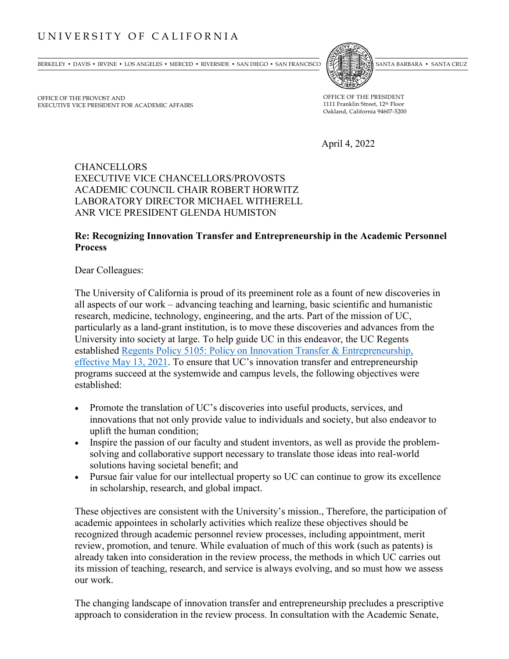## UNIVERSITY OF CALIFORNIA

BERKELEY • DAVIS • IRVINE • LOS ANGELES • MERCED • RIVERSIDE • SAN DIEGO • SAN FRANCISCO (SVANTA BARBARA • SANTA BARBARA • SANTA CRUZ



OFFICE OF THE PROVOST AND EXECUTIVE VICE PRESIDENT FOR ACADEMIC AFFAIRS

OFFICE OF THE PRESIDENT 1111 Franklin Street, 12th Floor Oakland, California 94607-5200

April 4, 2022

## **CHANCELLORS** EXECUTIVE VICE CHANCELLORS/PROVOSTS ACADEMIC COUNCIL CHAIR ROBERT HORWITZ LABORATORY DIRECTOR MICHAEL WITHERELL ANR VICE PRESIDENT GLENDA HUMISTON

## **Re: Recognizing Innovation Transfer and Entrepreneurship in the Academic Personnel Process**

Dear Colleagues:

The University of California is proud of its preeminent role as a fount of new discoveries in all aspects of our work – advancing teaching and learning, basic scientific and humanistic research, medicine, technology, engineering, and the arts. Part of the mission of UC, particularly as a land-grant institution, is to move these discoveries and advances from the University into society at large. To help guide UC in this endeavor, the UC Regents established [Regents Policy 5105: Policy on Innovation Transfer & Entrepreneurship,](https://regents.universityofcalifornia.edu/governance/policies/5105.html) effective May 13, 2021. To ensure that UC's innovation transfer and entrepreneurship programs succeed at the systemwide and campus levels, the following objectives were established:

- Promote the translation of UC's discoveries into useful products, services, and innovations that not only provide value to individuals and society, but also endeavor to uplift the human condition;
- Inspire the passion of our faculty and student inventors, as well as provide the problemsolving and collaborative support necessary to translate those ideas into real-world solutions having societal benefit; and
- Pursue fair value for our intellectual property so UC can continue to grow its excellence in scholarship, research, and global impact.

These objectives are consistent with the University's mission., Therefore, the participation of academic appointees in scholarly activities which realize these objectives should be recognized through academic personnel review processes, including appointment, merit review, promotion, and tenure. While evaluation of much of this work (such as patents) is already taken into consideration in the review process, the methods in which UC carries out its mission of teaching, research, and service is always evolving, and so must how we assess our work.

The changing landscape of innovation transfer and entrepreneurship precludes a prescriptive approach to consideration in the review process. In consultation with the Academic Senate,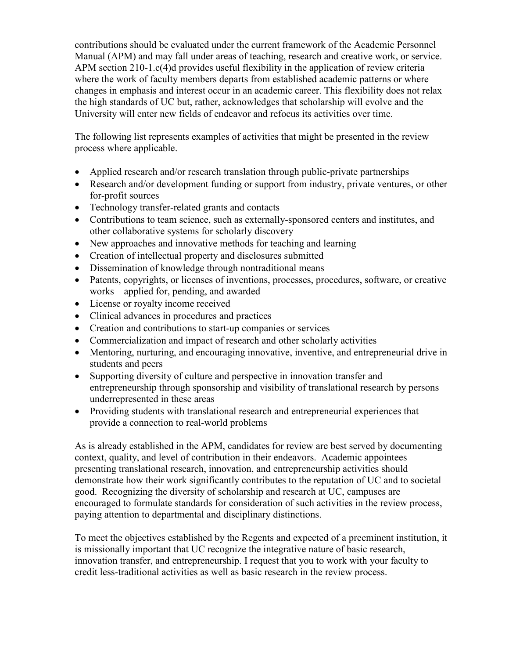contributions should be evaluated under the current framework of the Academic Personnel Manual (APM) and may fall under areas of teaching, research and creative work, or service. APM section 210-1.c(4)d provides useful flexibility in the application of review criteria where the work of faculty members departs from established academic patterns or where changes in emphasis and interest occur in an academic career. This flexibility does not relax the high standards of UC but, rather, acknowledges that scholarship will evolve and the University will enter new fields of endeavor and refocus its activities over time.

The following list represents examples of activities that might be presented in the review process where applicable.

- Applied research and/or research translation through public-private partnerships
- Research and/or development funding or support from industry, private ventures, or other for-profit sources
- Technology transfer-related grants and contacts
- Contributions to team science, such as externally-sponsored centers and institutes, and other collaborative systems for scholarly discovery
- New approaches and innovative methods for teaching and learning
- Creation of intellectual property and disclosures submitted
- Dissemination of knowledge through nontraditional means
- Patents, copyrights, or licenses of inventions, processes, procedures, software, or creative works – applied for, pending, and awarded
- License or royalty income received
- Clinical advances in procedures and practices
- Creation and contributions to start-up companies or services
- Commercialization and impact of research and other scholarly activities
- Mentoring, nurturing, and encouraging innovative, inventive, and entrepreneurial drive in students and peers
- Supporting diversity of culture and perspective in innovation transfer and entrepreneurship through sponsorship and visibility of translational research by persons underrepresented in these areas
- Providing students with translational research and entrepreneurial experiences that provide a connection to real-world problems

As is already established in the APM, candidates for review are best served by documenting context, quality, and level of contribution in their endeavors. Academic appointees presenting translational research, innovation, and entrepreneurship activities should demonstrate how their work significantly contributes to the reputation of UC and to societal good. Recognizing the diversity of scholarship and research at UC, campuses are encouraged to formulate standards for consideration of such activities in the review process, paying attention to departmental and disciplinary distinctions.

To meet the objectives established by the Regents and expected of a preeminent institution, it is missionally important that UC recognize the integrative nature of basic research, innovation transfer, and entrepreneurship. I request that you to work with your faculty to credit less-traditional activities as well as basic research in the review process.